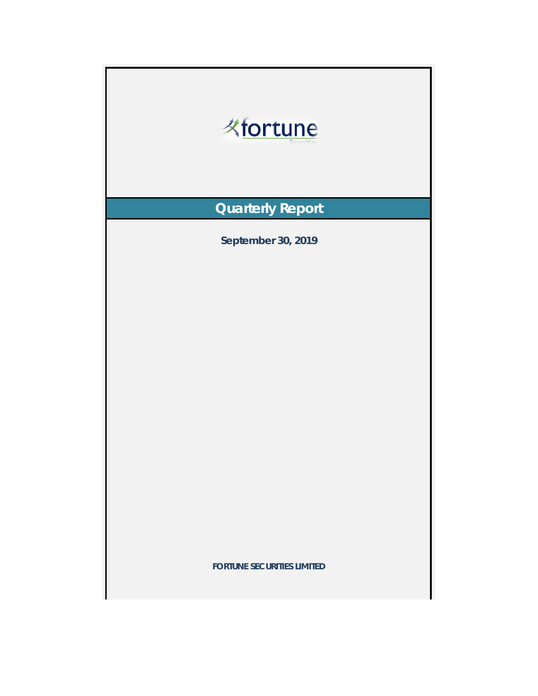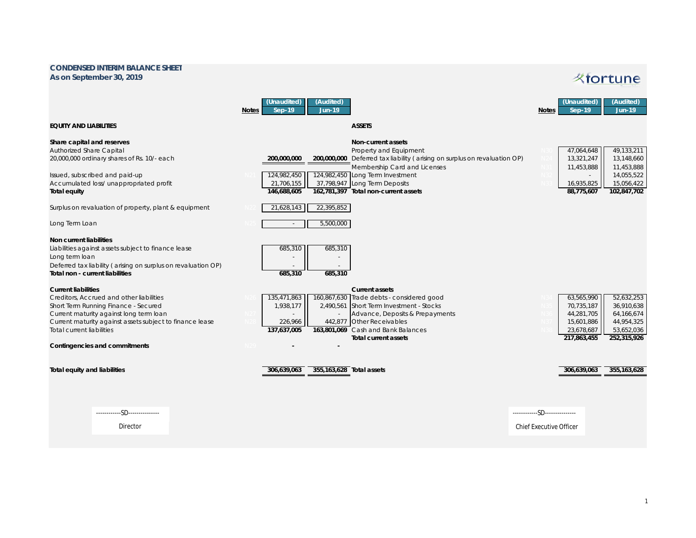## **CONDENSED INTERIM BALANCE SHEET As on September 30, 2019**

## **Kfortune**

|                                                                                                                                                                                                                                                                                                   | <b>Notes</b> | (Unaudited)<br>$Sep-19$                                               | (Audited)<br><b>Jun-19</b> |                                                                                                                                                                                                                                                                               | <b>Notes</b>                                                    | (Unaudited)<br>$Sep-19$                                                           | (Audited)<br><b>Jun-19</b>                                                        |
|---------------------------------------------------------------------------------------------------------------------------------------------------------------------------------------------------------------------------------------------------------------------------------------------------|--------------|-----------------------------------------------------------------------|----------------------------|-------------------------------------------------------------------------------------------------------------------------------------------------------------------------------------------------------------------------------------------------------------------------------|-----------------------------------------------------------------|-----------------------------------------------------------------------------------|-----------------------------------------------------------------------------------|
| <b>EQUITY AND LIABILITIES</b>                                                                                                                                                                                                                                                                     |              |                                                                       |                            | <b>ASSETS</b>                                                                                                                                                                                                                                                                 |                                                                 |                                                                                   |                                                                                   |
| Share capital and reserves<br><b>Authorized Share Capital</b><br>20,000,000 ordinary shares of Rs. 10/- each<br>Issued, subscribed and paid-up<br>Accumulated loss/ unappropriated profit<br><b>Total equity</b><br>Surplus on revaluation of property, plant & equipment                         |              | 200,000,000<br>124,982,450<br>21,706,155<br>146,688,605<br>21,628,143 | 22,395,852                 | <b>Non-current assets</b><br>Property and Equipment<br>200,000,000 Deferred tax liability (arising on surplus on revaluation OP)<br>Membership Card and Licenses<br>124,982,450 Long Term Investment<br>37,798,947 Long Term Deposits<br>162,781,397 Total non-current assets |                                                                 | 47,064,648<br>13,321,247<br>11,453,888<br>16,935,825<br>88,775,607                | 49,133,211<br>13,148,660<br>11,453,888<br>14,055,522<br>15,056,422<br>102,847,702 |
| Long Term Loan                                                                                                                                                                                                                                                                                    |              | $\sim$                                                                | 5,500,000                  |                                                                                                                                                                                                                                                                               |                                                                 |                                                                                   |                                                                                   |
| <b>Non current liabilities</b><br>Liabilities against assets subject to finance lease<br>Long term loan<br>Deferred tax liability (arising on surplus on revaluation OP)<br>Total non - current liabilities                                                                                       |              | 685,310<br>685,310                                                    | 685,310<br>685,310         |                                                                                                                                                                                                                                                                               |                                                                 |                                                                                   |                                                                                   |
| <b>Current liabilities</b><br>Creditors. Accrued and other liabilities<br>Short Term Running Finance - Secured<br>Current maturity against long term loan<br>Current maturity against assets subject to finance lease<br><b>Total current liabilities</b><br><b>Contingencies and commitments</b> |              | 135,471,863<br>1,938,177<br>226,966<br>137,637,005                    | 2,490,561                  | <b>Current assets</b><br>160,867,630 Trade debts - considered good<br>Short Term Investment - Stocks<br>Advance, Deposits & Prepayments<br>442,877 Other Receivables<br>163,801,069 Cash and Bank Balances<br><b>Total current assets</b>                                     |                                                                 | 63,565,990<br>70,735,187<br>44,281,705<br>15,601,886<br>23,678,687<br>217,863,455 | 52,632,253<br>36,910,638<br>64,166,674<br>44,954,325<br>53,652,036<br>252,315,926 |
| <b>Total equity and liabilities</b>                                                                                                                                                                                                                                                               |              | 306,639,063                                                           | 355.163.628 Total assets   |                                                                                                                                                                                                                                                                               |                                                                 | 306.639.063                                                                       | 355.163.628                                                                       |
| ------------SD---------------<br>Director                                                                                                                                                                                                                                                         |              |                                                                       |                            |                                                                                                                                                                                                                                                                               | ------------SD---------------<br><b>Chief Executive Officer</b> |                                                                                   |                                                                                   |
|                                                                                                                                                                                                                                                                                                   |              |                                                                       |                            |                                                                                                                                                                                                                                                                               |                                                                 |                                                                                   |                                                                                   |